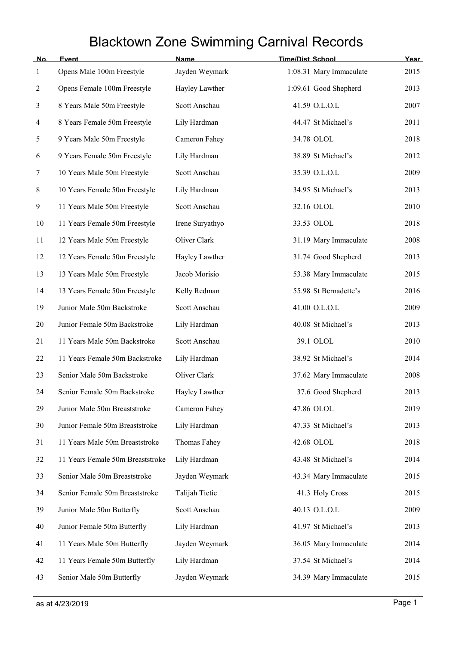## Blacktown Zone Swimming Carnival Records

| No.            | Event                            | Name            | <b>Time/Dist School</b> | Year |
|----------------|----------------------------------|-----------------|-------------------------|------|
| $\mathbf{1}$   | Opens Male 100m Freestyle        | Jayden Weymark  | 1:08.31 Mary Immaculate | 2015 |
| $\overline{c}$ | Opens Female 100m Freestyle      | Hayley Lawther  | 1:09.61 Good Shepherd   | 2013 |
| 3              | 8 Years Male 50m Freestyle       | Scott Anschau   | 41.59 O.L.O.L           | 2007 |
| 4              | 8 Years Female 50m Freestyle     | Lily Hardman    | 44.47 St Michael's      | 2011 |
| 5              | 9 Years Male 50m Freestyle       | Cameron Fahey   | 34.78 OLOL              | 2018 |
| 6              | 9 Years Female 50m Freestyle     | Lily Hardman    | 38.89 St Michael's      | 2012 |
| 7              | 10 Years Male 50m Freestyle      | Scott Anschau   | 35.39 O.L.O.L           | 2009 |
| 8              | 10 Years Female 50m Freestyle    | Lily Hardman    | 34.95 St Michael's      | 2013 |
| 9              | 11 Years Male 50m Freestyle      | Scott Anschau   | 32.16 OLOL              | 2010 |
| 10             | 11 Years Female 50m Freestyle    | Irene Suryathyo | 33.53 OLOL              | 2018 |
| 11             | 12 Years Male 50m Freestyle      | Oliver Clark    | 31.19 Mary Immaculate   | 2008 |
| 12             | 12 Years Female 50m Freestyle    | Hayley Lawther  | 31.74 Good Shepherd     | 2013 |
| 13             | 13 Years Male 50m Freestyle      | Jacob Morisio   | 53.38 Mary Immaculate   | 2015 |
| 14             | 13 Years Female 50m Freestyle    | Kelly Redman    | 55.98 St Bernadette's   | 2016 |
| 19             | Junior Male 50m Backstroke       | Scott Anschau   | 41.00 O.L.O.L           | 2009 |
| 20             | Junior Female 50m Backstroke     | Lily Hardman    | 40.08 St Michael's      | 2013 |
| 21             | 11 Years Male 50m Backstroke     | Scott Anschau   | 39.1 OLOL               | 2010 |
| 22             | 11 Years Female 50m Backstroke   | Lily Hardman    | 38.92 St Michael's      | 2014 |
| 23             | Senior Male 50m Backstroke       | Oliver Clark    | 37.62 Mary Immaculate   | 2008 |
| 24             | Senior Female 50m Backstroke     | Hayley Lawther  | 37.6 Good Shepherd      | 2013 |
| 29             | Junior Male 50m Breaststroke     | Cameron Fahey   | 47.86 OLOL              | 2019 |
| 30             | Junior Female 50m Breaststroke   | Lily Hardman    | 47.33 St Michael's      | 2013 |
| 31             | 11 Years Male 50m Breaststroke   | Thomas Fahey    | 42.68 OLOL              | 2018 |
| 32             | 11 Years Female 50m Breaststroke | Lily Hardman    | 43.48 St Michael's      | 2014 |
| 33             | Senior Male 50m Breaststroke     | Jayden Weymark  | 43.34 Mary Immaculate   | 2015 |
| 34             | Senior Female 50m Breaststroke   | Talijah Tietie  | 41.3 Holy Cross         | 2015 |
| 39             | Junior Male 50m Butterfly        | Scott Anschau   | 40.13 O.L.O.L           | 2009 |
| 40             | Junior Female 50m Butterfly      | Lily Hardman    | 41.97 St Michael's      | 2013 |
| 41             | 11 Years Male 50m Butterfly      | Jayden Weymark  | 36.05 Mary Immaculate   | 2014 |
| 42             | 11 Years Female 50m Butterfly    | Lily Hardman    | 37.54 St Michael's      | 2014 |
| 43             | Senior Male 50m Butterfly        | Jayden Weymark  | 34.39 Mary Immaculate   | 2015 |